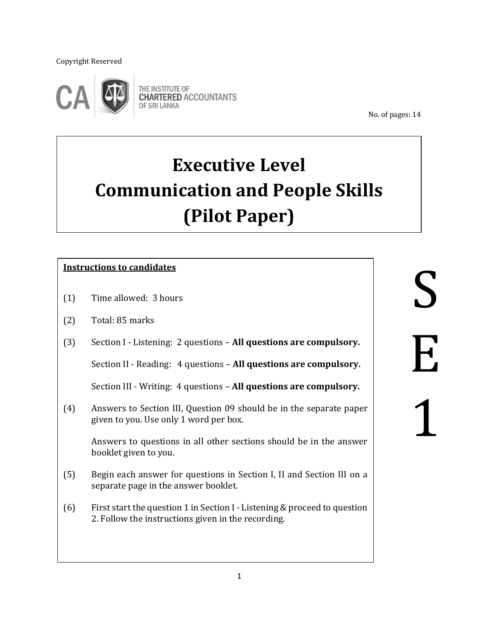Copyright Reserved

j



THE INSTITUTE OF **CHARTERED ACCOUNTANTS** OF SRI LANKA

No. of pages: 14

# **Executive Level Communication and People Skills (Pilot Paper)**

## **Instructions to candidates**

- (1) Time allowed: 3 hours
- (2) Total: 85 marks

 $\overline{\phantom{a}}$ 

 $\overline{\phantom{a}}$  $\overline{\phantom{a}}$ 

 (3) Section I - Listening: 2 questions – **All questions are compulsory.**

Section II - Reading: 4 questions – **All questions are compulsory.**

Section III - Writing: 4 questions – **All questions are compulsory.**

(4) Answers to Section III, Question 09 should be in the separate paper given to you. Use only 1 word per box.

Answers to questions in all other sections should be in the answer booklet given to you.

- (5) Begin each answer for questions in Section I, II and Section III on a separate page in the answer booklet.
- (6) First start the question 1 in Section I Listening & proceed to question 2. Follow the instructions given in the recording.

S E 1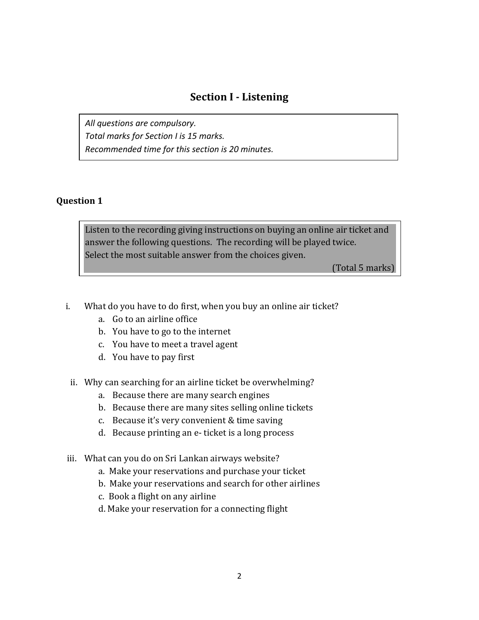# **Section I - Listening**

*All questions are compulsory. Total marks for Section I is 15 marks. Recommended time for this section is 20 minutes.*

#### **Question 1**

Listen to the recording giving instructions on buying an online air ticket and answer the following questions. The recording will be played twice. Select the most suitable answer from the choices given.

(Total 5 marks)

- i. What do you have to do first, when you buy an online air ticket?
	- a. Go to an airline office
	- b. You have to go to the internet
	- c. You have to meet a travel agent
	- d. You have to pay first
	- ii. Why can searching for an airline ticket be overwhelming?
		- a. Because there are many search engines
		- b. Because there are many sites selling online tickets
		- c. Because it's very convenient & time saving
		- d. Because printing an e- ticket is a long process
- iii. What can you do on Sri Lankan airways website?
	- a. Make your reservations and purchase your ticket
	- b. Make your reservations and search for other airlines
	- c. Book a flight on any airline
	- d. Make your reservation for a connecting flight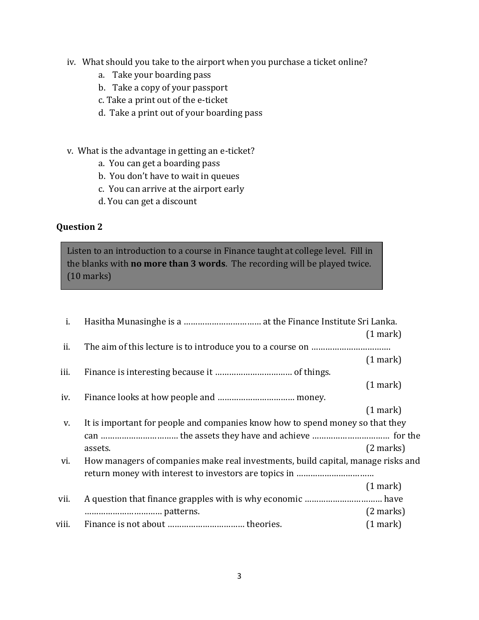- iv. What should you take to the airport when you purchase a ticket online?
	- a. Take your boarding pass
	- b. Take a copy of your passport
	- c. Take a print out of the e-ticket
	- d. Take a print out of your boarding pass
- v. What is the advantage in getting an e-ticket?
	- a. You can get a boarding pass
	- b. You don't have to wait in queues
	- c. You can arrive at the airport early
	- d. You can get a discount

Listen to an introduction to a course in Finance taught at college level. Fill in the blanks with **no more than 3 words**. The recording will be played twice. (10 marks)

| i.    |                                                                                  |                     |  |
|-------|----------------------------------------------------------------------------------|---------------------|--|
|       |                                                                                  | $(1$ mark)          |  |
| ii.   |                                                                                  |                     |  |
|       |                                                                                  | $(1$ mark $)$       |  |
| iii.  |                                                                                  |                     |  |
|       |                                                                                  | (1 mark)            |  |
| iv.   |                                                                                  |                     |  |
|       |                                                                                  | $(1$ mark)          |  |
| V.    | It is important for people and companies know how to spend money so that they    |                     |  |
|       |                                                                                  |                     |  |
|       | assets.                                                                          | $(2 \text{ marks})$ |  |
| vi.   | How managers of companies make real investments, build capital, manage risks and |                     |  |
|       |                                                                                  |                     |  |
|       |                                                                                  | $(1$ mark)          |  |
| vii.  |                                                                                  |                     |  |
|       |                                                                                  | $(2 \text{ marks})$ |  |
| viii. |                                                                                  | (1 mark)            |  |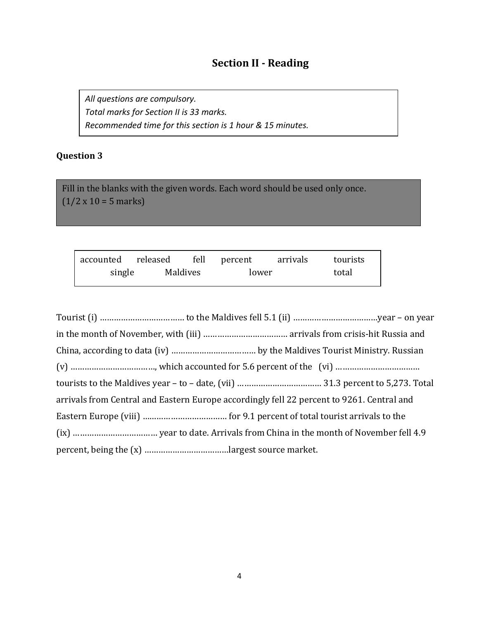# **Section II - Reading**

*All questions are compulsory. Total marks for Section II is 33 marks. Recommended time for this section is 1 hour & 15 minutes.*

# **Question 3**

Fill in the blanks with the given words. Each word should be used only once.  $(1/2 \times 10 = 5 \text{ marks})$ 

| accounted released fell percent |          |  | arrivals | tourists |
|---------------------------------|----------|--|----------|----------|
| single                          | Maldives |  | lower    |          |

| arrivals from Central and Eastern Europe accordingly fell 22 percent to 9261. Central and |
|-------------------------------------------------------------------------------------------|
|                                                                                           |
|                                                                                           |
|                                                                                           |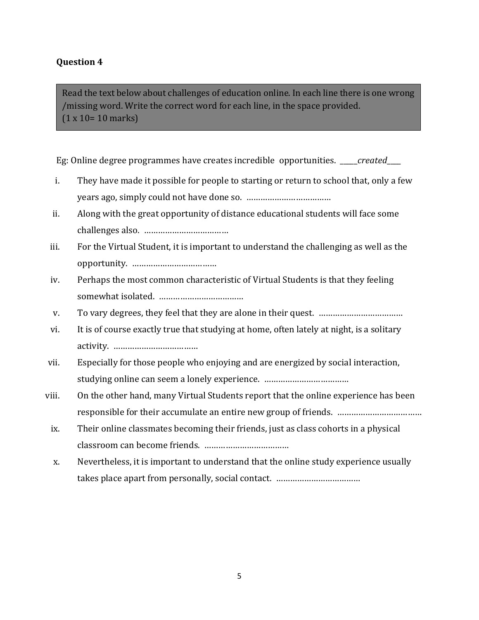Read the text below about challenges of education online. In each line there is one wrong /missing word. Write the correct word for each line, in the space provided. (1 x 10= 10 marks)

Eg: Online degree programmes have creates incredible opportunities. \_\_\_\_\_*created*\_\_\_\_

- i. They have made it possible for people to starting or return to school that, only a few years ago, simply could not have done so. ………………………………
- ii. Along with the great opportunity of distance educational students will face some challenges also. ………………………………
- iii. For the Virtual Student, it is important to understand the challenging as well as the opportunity. ………………………………
- iv. Perhaps the most common characteristic of Virtual Students is that they feeling somewhat isolated. ………………………………
- v. To vary degrees, they feel that they are alone in their quest. ………………………………
- vi. It is of course exactly true that studying at home, often lately at night, is a solitary activity. ………………………………
- vii. Especially for those people who enjoying and are energized by social interaction, studying online can seem a lonely experience. ………………………………
- viii. On the other hand, many Virtual Students report that the online experience has been responsible for their accumulate an entire new group of friends. ………………………………
	- ix. Their online classmates becoming their friends, just as class cohorts in a physical classroom can become friends. ………………………………
	- x. Nevertheless, it is important to understand that the online study experience usually takes place apart from personally, social contact. ………………………………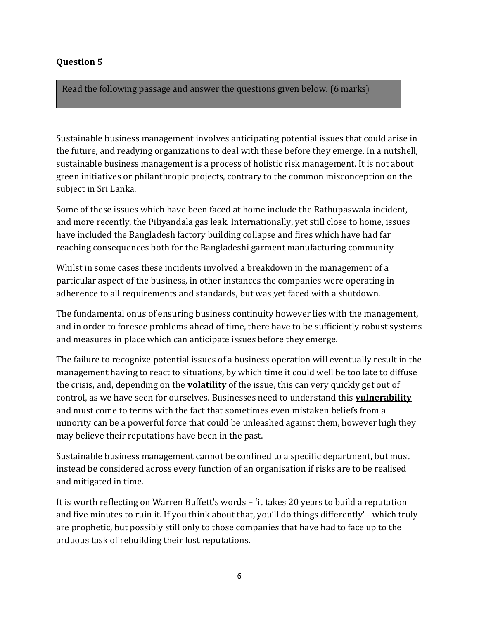Read the following passage and answer the questions given below. (6 marks)

Sustainable business management involves anticipating potential issues that could arise in the future, and readying organizations to deal with these before they emerge. In a nutshell, sustainable business management is a process of holistic risk management. It is not about green initiatives or philanthropic projects, contrary to the common misconception on the subject in Sri Lanka.

Some of these issues which have been faced at home include the Rathupaswala incident, and more recently, the Piliyandala gas leak. Internationally, yet still close to home, issues have included the Bangladesh factory building collapse and fires which have had far reaching consequences both for the Bangladeshi garment manufacturing community

Whilst in some cases these incidents involved a breakdown in the management of a particular aspect of the business, in other instances the companies were operating in adherence to all requirements and standards, but was yet faced with a shutdown.

The fundamental onus of ensuring business continuity however lies with the management, and in order to foresee problems ahead of time, there have to be sufficiently robust systems and measures in place which can anticipate issues before they emerge.

The failure to recognize potential issues of a business operation will eventually result in the management having to react to situations, by which time it could well be too late to diffuse the crisis, and, depending on the **volatility** of the issue, this can very quickly get out of control, as we have seen for ourselves. Businesses need to understand this **vulnerability** and must come to terms with the fact that sometimes even mistaken beliefs from a minority can be a powerful force that could be unleashed against them, however high they may believe their reputations have been in the past.

Sustainable business management cannot be confined to a specific department, but must instead be considered across every function of an organisation if risks are to be realised and mitigated in time.

It is worth reflecting on Warren Buffett's words – 'it takes 20 years to build a reputation and five minutes to ruin it. If you think about that, you'll do things differently' - which truly are prophetic, but possibly still only to those companies that have had to face up to the arduous task of rebuilding their lost reputations.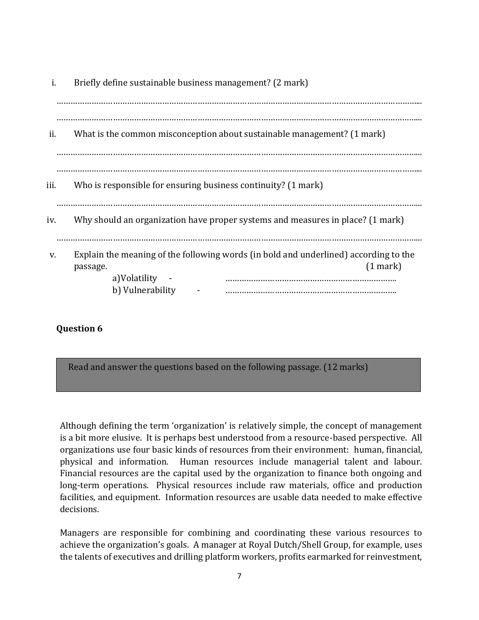| i.   | Briefly define sustainable business management? (2 mark)                                                                                             |
|------|------------------------------------------------------------------------------------------------------------------------------------------------------|
| ii.  | What is the common misconception about sustainable management? (1 mark)                                                                              |
| iii. | Who is responsible for ensuring business continuity? (1 mark)                                                                                        |
| iv.  | Why should an organization have proper systems and measures in place? (1 mark)                                                                       |
| V.   | Explain the meaning of the following words (in bold and underlined) according to the<br>$(1$ mark)<br>passage.<br>a)Volatility -<br>b) Vulnerability |

Read and answer the questions based on the following passage. (12 marks)

Although defining the term 'organization' is relatively simple, the concept of management is a bit more elusive. It is perhaps best understood from a resource-based perspective. All organizations use four basic kinds of resources from their environment: human, financial, physical and information. Human resources include managerial talent and labour. Financial resources are the capital used by the organization to finance both ongoing and long-term operations. Physical resources include raw materials, office and production facilities, and equipment. Information resources are usable data needed to make effective decisions.

Managers are responsible for combining and coordinating these various resources to achieve the organization's goals. A manager at Royal Dutch/Shell Group, for example, uses the talents of executives and drilling platform workers, profits earmarked for reinvestment,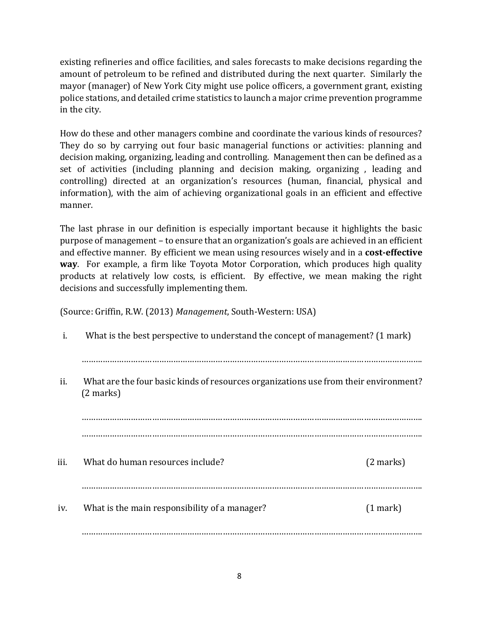existing refineries and office facilities, and sales forecasts to make decisions regarding the amount of petroleum to be refined and distributed during the next quarter. Similarly the mayor (manager) of New York City might use police officers, a government grant, existing police stations, and detailed crime statistics to launch a major crime prevention programme in the city.

How do these and other managers combine and coordinate the various kinds of resources? They do so by carrying out four basic managerial functions or activities: planning and decision making, organizing, leading and controlling. Management then can be defined as a set of activities (including planning and decision making, organizing , leading and controlling) directed at an organization's resources (human, financial, physical and information), with the aim of achieving organizational goals in an efficient and effective manner.

The last phrase in our definition is especially important because it highlights the basic purpose of management – to ensure that an organization's goals are achieved in an efficient and effective manner. By efficient we mean using resources wisely and in a **cost-effective way**. For example, a firm like Toyota Motor Corporation, which produces high quality products at relatively low costs, is efficient. By effective, we mean making the right decisions and successfully implementing them.

(Source: Griffin, R.W. (2013) *Management*, South-Western: USA)

| i.   | What is the best perspective to understand the concept of management? (1 mark)                              |                     |  |  |
|------|-------------------------------------------------------------------------------------------------------------|---------------------|--|--|
| ii.  | What are the four basic kinds of resources organizations use from their environment?<br>$(2 \text{ marks})$ |                     |  |  |
|      |                                                                                                             |                     |  |  |
| iii. | What do human resources include?                                                                            | $(2 \text{ marks})$ |  |  |
| iv.  | What is the main responsibility of a manager?                                                               | (1 mark)            |  |  |
|      |                                                                                                             |                     |  |  |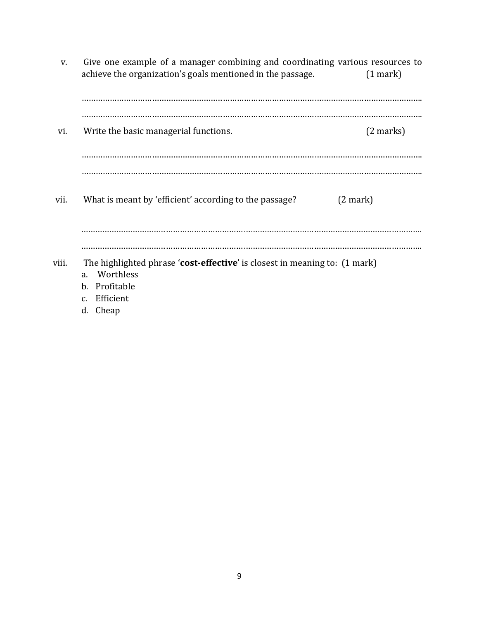v. Give one example of a manager combining and coordinating various resources to achieve the organization's goals mentioned in the passage. (1 mark)

| vi.   | Write the basic managerial functions.<br>$(2 \text{ marks})$                                                                                                                          |
|-------|---------------------------------------------------------------------------------------------------------------------------------------------------------------------------------------|
|       |                                                                                                                                                                                       |
| vii.  | What is meant by 'efficient' according to the passage?<br>(2 mark)                                                                                                                    |
|       |                                                                                                                                                                                       |
| viii. | The highlighted phrase 'cost-effective' is closest in meaning to: (1 mark)<br>Worthless<br>a <sub>r</sub><br>Profitable<br>$\mathbf{b}$ .<br>Efficient<br>$C_{\alpha}$<br>Cheap<br>d. |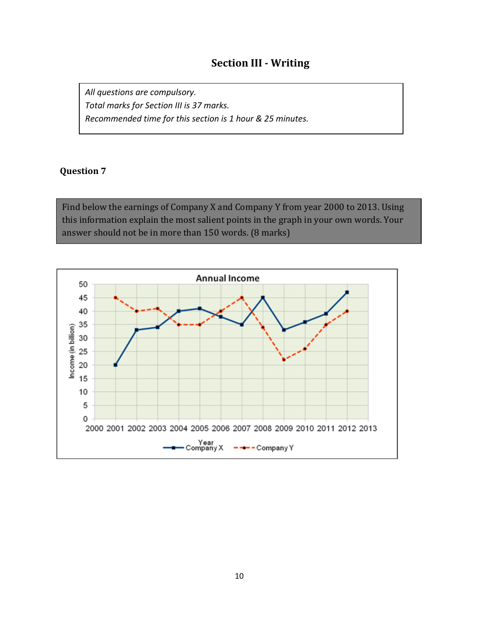# **Section III - Writing**

*All questions are compulsory. Total marks for Section III is 37 marks. Recommended time for this section is 1 hour & 25 minutes.*

#### **Question 7**

Find below the earnings of Company X and Company Y from year 2000 to 2013. Using this information explain the most salient points in the graph in your own words. Your answer should not be in more than 150 words. (8 marks)

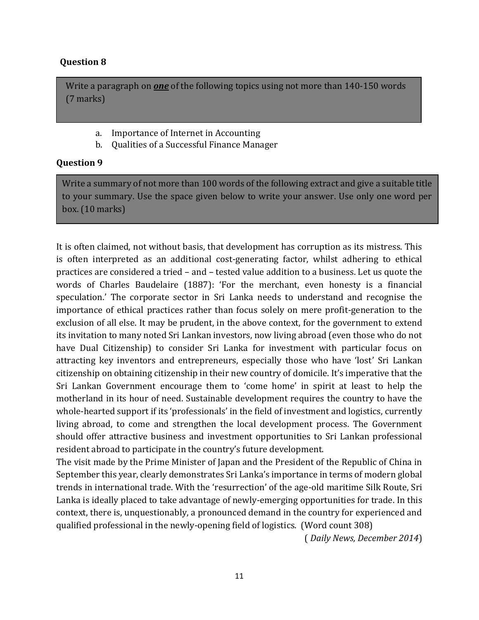Write a paragraph on *one* of the following topics using not more than 140-150 words (7 marks)

- a. Importance of Internet in Accounting
- b. Qualities of a Successful Finance Manager

#### **Question 9**

Write a summary of not more than 100 words of the following extract and give a suitable title to your summary. Use the space given below to write your answer. Use only one word per box. (10 marks)

It is often claimed, not without basis, that development has corruption as its mistress. This is often interpreted as an additional cost-generating factor, whilst adhering to ethical practices are considered a tried – and – tested value addition to a business. Let us quote the words of Charles Baudelaire (1887): 'For the merchant, even honesty is a financial speculation.' The corporate sector in Sri Lanka needs to understand and recognise the importance of ethical practices rather than focus solely on mere profit-generation to the exclusion of all else. It may be prudent, in the above context, for the government to extend its invitation to many noted Sri Lankan investors, now living abroad (even those who do not have Dual Citizenship) to consider Sri Lanka for investment with particular focus on attracting key inventors and entrepreneurs, especially those who have 'lost' Sri Lankan citizenship on obtaining citizenship in their new country of domicile. It's imperative that the Sri Lankan Government encourage them to 'come home' in spirit at least to help the motherland in its hour of need. Sustainable development requires the country to have the whole-hearted support if its 'professionals' in the field of investment and logistics, currently living abroad, to come and strengthen the local development process. The Government should offer attractive business and investment opportunities to Sri Lankan professional resident abroad to participate in the country's future development.

The visit made by the Prime Minister of Japan and the President of the Republic of China in September this year, clearly demonstrates Sri Lanka's importance in terms of modern global trends in international trade. With the 'resurrection' of the age-old maritime Silk Route, Sri Lanka is ideally placed to take advantage of newly-emerging opportunities for trade. In this context, there is, unquestionably, a pronounced demand in the country for experienced and qualified professional in the newly-opening field of logistics. (Word count 308)

( *Daily News, December 2014*)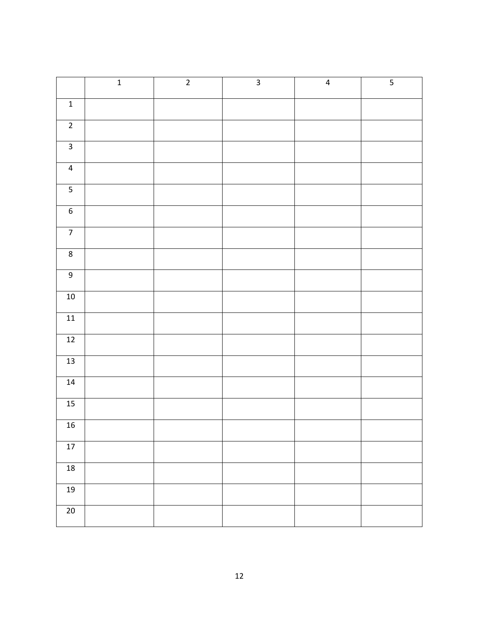|                         | $\mathbf{1}$ | $\overline{2}$ | $\overline{3}$ | $\overline{4}$ | $\overline{5}$ |
|-------------------------|--------------|----------------|----------------|----------------|----------------|
| $\mathbf{1}$            |              |                |                |                |                |
| $\overline{2}$          |              |                |                |                |                |
| $\overline{3}$          |              |                |                |                |                |
| $\overline{4}$          |              |                |                |                |                |
| $\overline{\mathbf{5}}$ |              |                |                |                |                |
| $\overline{6}$          |              |                |                |                |                |
| $\overline{7}$          |              |                |                |                |                |
| $\overline{8}$          |              |                |                |                |                |
| $\overline{9}$          |              |                |                |                |                |
| $10\,$                  |              |                |                |                |                |
| $11\,$                  |              |                |                |                |                |
| $\overline{12}$         |              |                |                |                |                |
| $\overline{13}$         |              |                |                |                |                |
| 14                      |              |                |                |                |                |
| 15                      |              |                |                |                |                |
| 16                      |              |                |                |                |                |
| $17$                    |              |                |                |                |                |
| $18\,$                  |              |                |                |                |                |
| 19                      |              |                |                |                |                |
| $\overline{20}$         |              |                |                |                |                |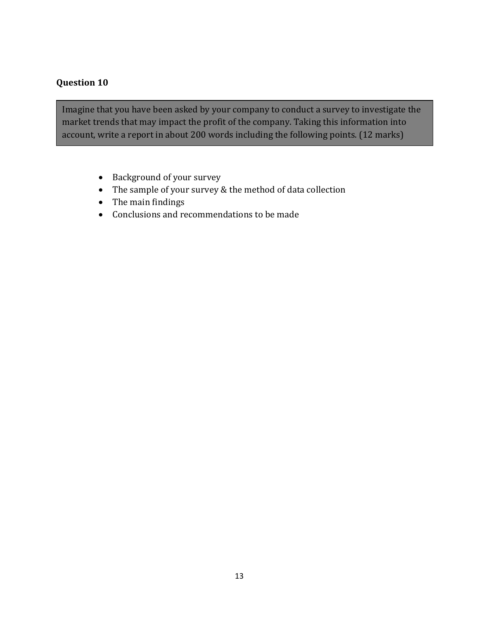Imagine that you have been asked by your company to conduct a survey to investigate the market trends that may impact the profit of the company. Taking this information into account, write a report in about 200 words including the following points. (12 marks)

- Background of your survey
- The sample of your survey & the method of data collection
- The main findings
- Conclusions and recommendations to be made